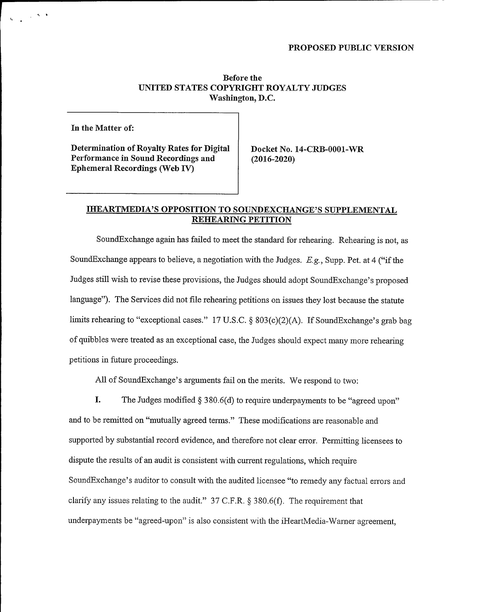## PROPOSED PUBLIC VERSION

## Before the UNITED STATES COPYRIGHT ROYALTY JUDGES Washington, D.C.

In the Matter of:

 $\label{eq:2.1} \chi_{\mathbf{r}} = \frac{1}{\mathbf{a}} e^{-\frac{1}{2} \left( \mathbf{a} - \mathbf{a} \right) \mathbf{a}} \left( \mathbf{a} - \mathbf{a} \right)$ 

Determination of Royalty Rates for Digital Performance in Sound Recordings and Ephemeral Recordings (Web IV)

Docket No. 14-CRB-0001-WR (2016-2020)

## IHEARTMEDIA'S OPPOSITION TO SOUNDEXCHANGE'S SUPPLEMENTAL REHEARING PETITION

SoundExchange again has failed to meet the standard for rehearing. Rehearing is not, as SoundExchange appears to believe, a negotiation with the Judges.  $E.g.,$  Supp. Pet. at 4 ("if the Judges still wish to revise these provisions, the Judges should adopt SoundExchange's proposed language"). The Services did not file rehearing petitions on issues they lost because the statute limits rehearing to "exceptional cases." 17 U.S.C. § 803(c)(2)(A). If SoundExchange's grab bag of quibbles were treated as an exceptional case, the Judges should expect many more rehearing petitions in future proceedings.

All of SoundExchange's arguments fail on the merits. We respond to two:

I. The Judges modified  $\S 380.6(d)$  to require underpayments to be "agreed upon"

and to be remitted on "mutually agreed terms." These modifications are reasonable and supported by substantial record evidence, and therefore not clear error. Permitting licensees to dispute the results of an audit is consistent with current regulations, which require SoundExchange's auditor to consult with the audited licensee "to remedy any factual errors and clarify any issues relating to the audit."  $37 \text{ C.F.R.}$  \$ 380.6(f). The requirement that underpayments be "agreed-upon" is also consistent with the iHeartMedia-Warner agreement,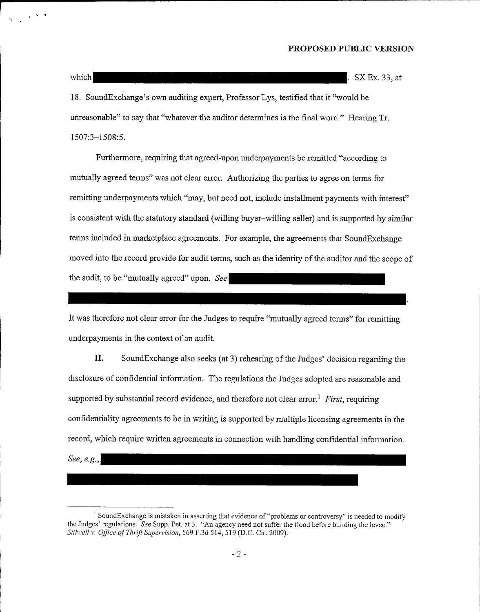which SXEx. 33, at the set of the set of the set of the set of the set of the set of the set of the set of the set of the set of the set of the set of the set of the set of the set of the set of the set of the set of the s

18. SoundExchange's own auditing expert, Professor Lys, testified that it "would be unreasonable" to say that "whatever the auditor determines is the final word." Hearing Tr. 1507:3-1508:5.

Furthermore, requiring that agreed-upon underpayments be remitted "according to mutually agreed terms" was not clear error. Authorizing the parties to agree on terms for remitting underpayments which "may, but need not, include installment payments with interest" is consistent with the statutory standard (willing buyer—willing seller) and is supported by similar terms included in marketplace agreements. For example, the agreements that SoundExchange moved into the record provide for audit terms, such as the identity of the auditor and the scope of the audit, to be "mutually agreed" upon. See

It was therefore not clear error for the Judges to require "mutually agreed terms" for remitting underpayments in the context of an audit.

II. SoundExchange also seeks (at 3) rehearing of the Judges' decision regarding the disclosure of confidential information. The regulations the Judges adopted are reasonable and supported by substantial record evidence, and therefore not clear error.<sup>1</sup> First, requiring confidentiality agreements to be in writing is supported by multiple licensing agreements in the record, which require written agreements in connection with handling confidential information.

See, e.g.,

<sup>&</sup>lt;sup>1</sup> SoundExchange is mistaken in asserting that evidence of "problems or controversy" is needed to modify the Judges' regulations. See Supp. Pet. at 3. "An agency need not suffer the flood before building the levee." Stilwell v. Office of Thrift Supervision, 569 F.3d 514, 519 (D.C. Cir. 2009).